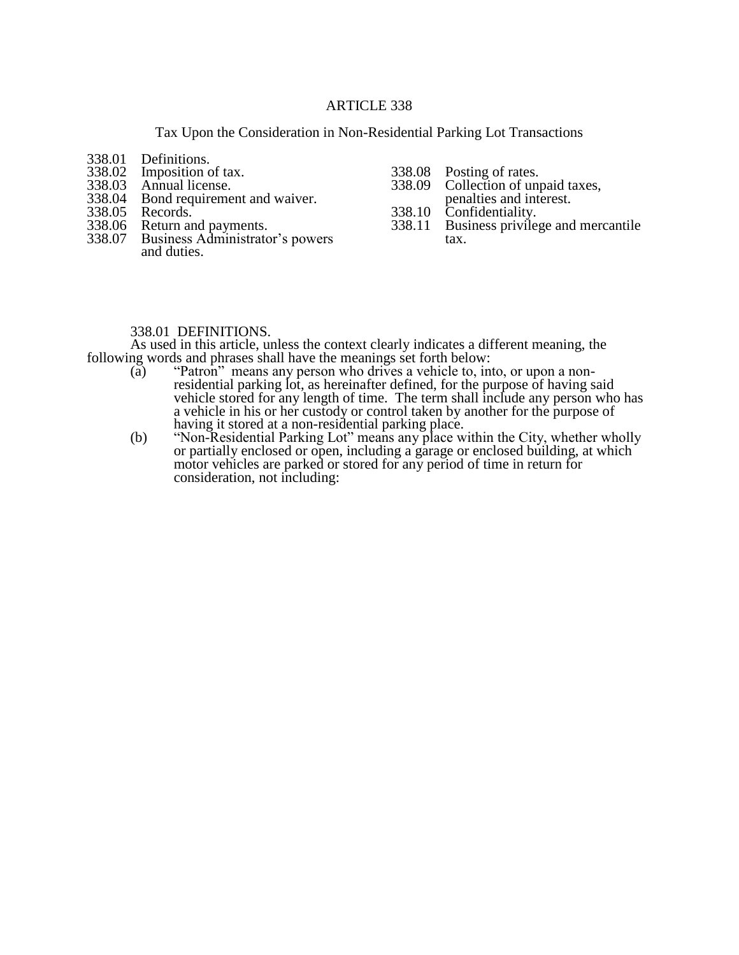## ARTICLE 338

Tax Upon the Consideration in Non-Residential Parking Lot Transactions

- 338.01 Definitions.<br>338.02 Imposition of
- 338.02 Imposition of tax.<br>338.03 Annual license.
- 338.03 Annual license.
- 338.04 Bond requirement and waiver.<br>338.05 Records.
- 338.05 Records.<br>338.06 Return ar
- 338.06 Return and payments.<br>338.07 Business Administrate
- Business Administrator's powers and duties.
- 338.08 Posting of rates.<br>338.09 Collection of un
	- Collection of unpaid taxes,
	- penalties and interest.
- 338.10 Confidentiality.<br>338.11 Business privile
- Business privilege and mercantile tax.

## 338.01 DEFINITIONS.

As used in this article, unless the context clearly indicates a different meaning, the following words and phrases shall have the meanings set forth below:

- (a) "Patron" means any person who drives a vehicle to, into, or upon a nonresidential parking lot, as hereinafter defined, for the purpose of having said vehicle stored for any length of time. The term shall include any person who has a vehicle in his or her custody or control taken by another for the purpose of having it stored at a non-residential parking place.
- (b) "Non-Residential Parking Lot" means any place within the City, whether wholly or partially enclosed or open, including a garage or enclosed building, at which motor vehicles are parked or stored for any period of time in return for consideration, not including: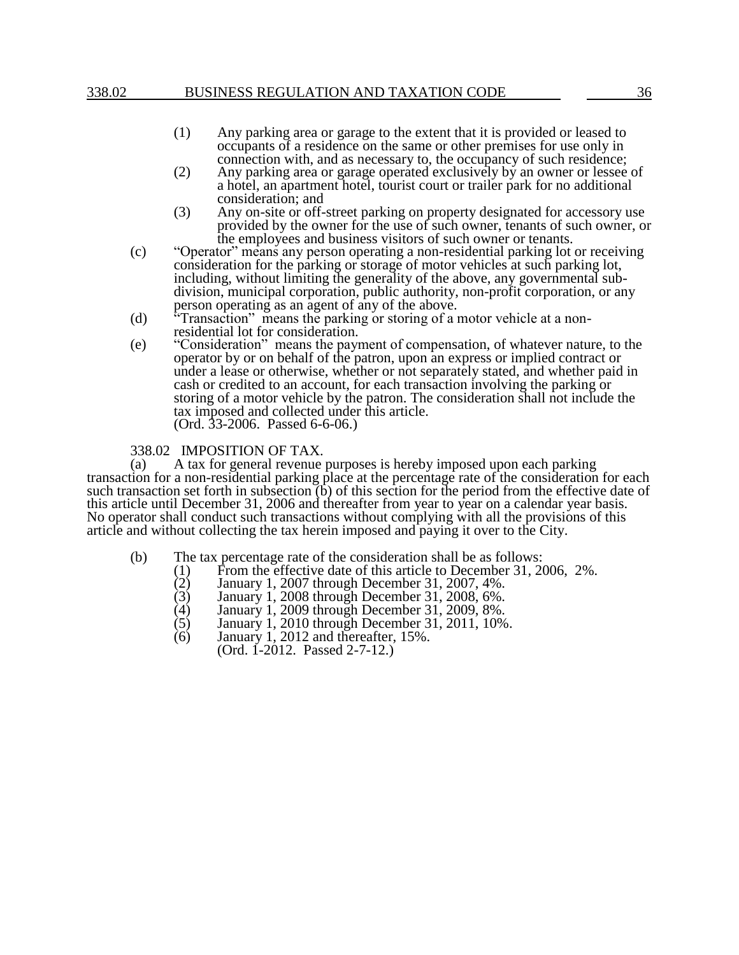## 338.02 BUSINESS REGULATION AND TAXATION CODE 36

- (1) Any parking area or garage to the extent that it is provided or leased to occupants of a residence on the same or other premises for use only in connection with, and as necessary to, the occupancy of such residence;
- (2) Any parking area or garage operated exclusively by an owner or lessee of a hotel, an apartment hotel, tourist court or trailer park for no additional consideration; and
- (3) Any on-site or off-street parking on property designated for accessory use provided by the owner for the use of such owner, tenants of such owner, or the employees and business visitors of such owner or tenants.
- (c) "Operator" means any person operating a non-residential parking lot or receiving consideration for the parking or storage of motor vehicles at such parking lot, including, without limiting the generality of the above, any governmental subdivision, municipal corporation, public authority, non-profit corporation, or any person operating as an agent of any of the above.
- (d) "Transaction" means the parking or storing of a motor vehicle at a nonresidential lot for consideration.
- (e) "Consideration" means the payment of compensation, of whatever nature, to the operator by or on behalf of the patron, upon an express or implied contract or under a lease or otherwise, whether or not separately stated, and whether paid in cash or credited to an account, for each transaction involving the parking or storing of a motor vehicle by the patron. The consideration shall not include the tax imposed and collected under this article. (Ord. 33-2006. Passed 6-6-06.)

## 338.02 IMPOSITION OF TAX.

(a) A tax for general revenue purposes is hereby imposed upon each parking transaction for a non-residential parking place at the percentage rate of the consideration for each such transaction set forth in subsection  $\ddot{\text{(b)}}$  of this section for the period from the effective date of this article until December 31, 2006 and thereafter from year to year on a calendar year basis. No operator shall conduct such transactions without complying with all the provisions of this article and without collecting the tax herein imposed and paying it over to the City.

- (b) The tax percentage rate of the consideration shall be as follows:
	- (1) From the effective date of this article to December 31, 2006, 2%.<br>(2) January 1, 2007 through December 31, 2007, 4%.
	- (2) January 1, 2007 through December 31, 2007, 4%.<br>(3) January 1, 2008 through December 31, 2008, 6%.
	- (3) January 1, 2008 through December 31, 2008, 6%.
	- (4) January 1, 2009 through December 31, 2009, 8%.
	- (5) January 1, 2010 through December 31, 2011, 10%.
	- $(6)$  January 1, 2012 and thereafter, 15%. (Ord. 1-2012. Passed 2-7-12.)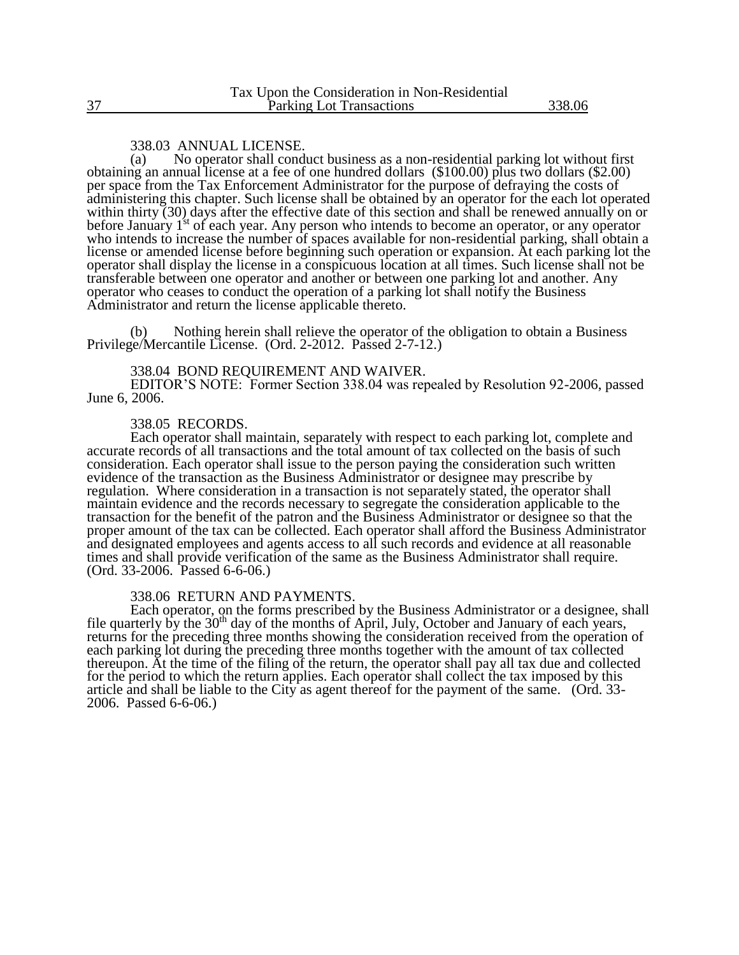#### 338.03 ANNUAL LICENSE.

(a) No operator shall conduct business as a non-residential parking lot without first obtaining an annual license at a fee of one hundred dollars (\$100.00) plus two dollars (\$2.00) per space from the Tax Enforcement Administrator for the purpose of defraying the costs of administering this chapter. Such license shall be obtained by an operator for the each lot operated within thirty (30) days after the effective date of this section and shall be renewed annually on or before January 1<sup>st</sup> of each year. Any person who intends to become an operator, or any operator who intends to increase the number of spaces available for non-residential parking, shall obtain a license or amended license before beginning such operation or expansion. At each parking lot the operator shall display the license in a conspicuous location at all times. Such license shall not be transferable between one operator and another or between one parking lot and another. Any operator who ceases to conduct the operation of a parking lot shall notify the Business Administrator and return the license applicable thereto.

(b) Nothing herein shall relieve the operator of the obligation to obtain a Business Privilege/Mercantile License. (Ord. 2-2012. Passed 2-7-12.)

### 338.04 BOND REQUIREMENT AND WAIVER.

EDITOR'S NOTE: Former Section 338.04 was repealed by Resolution 92-2006, passed June 6, 2006.

#### 338.05 RECORDS.

Each operator shall maintain, separately with respect to each parking lot, complete and accurate records of all transactions and the total amount of tax collected on the basis of such consideration. Each operator shall issue to the person paying the consideration such written evidence of the transaction as the Business Administrator or designee may prescribe by regulation. Where consideration in a transaction is not separately stated, the operator shall maintain evidence and the records necessary to segregate the consideration applicable to the transaction for the benefit of the patron and the Business Administrator or designee so that the proper amount of the tax can be collected. Each operator shall afford the Business Administrator and designated employees and agents access to all such records and evidence at all reasonable times and shall provide verification of the same as the Business Administrator shall require. (Ord. 33-2006. Passed 6-6-06.)

#### 338.06 RETURN AND PAYMENTS.

Each operator, on the forms prescribed by the Business Administrator or a designee, shall file quarterly by the 30<sup>th</sup> day of the months of April, July, October and January of each years, returns for the preceding three months showing the consideration received from the operation of each parking lot during the preceding three months together with the amount of tax collected thereupon. At the time of the filing of the return, the operator shall pay all tax due and collected for the period to which the return applies. Each operator shall collect the tax imposed by this article and shall be liable to the City as agent thereof for the payment of the same. (Ord. 33- 2006. Passed 6-6-06.)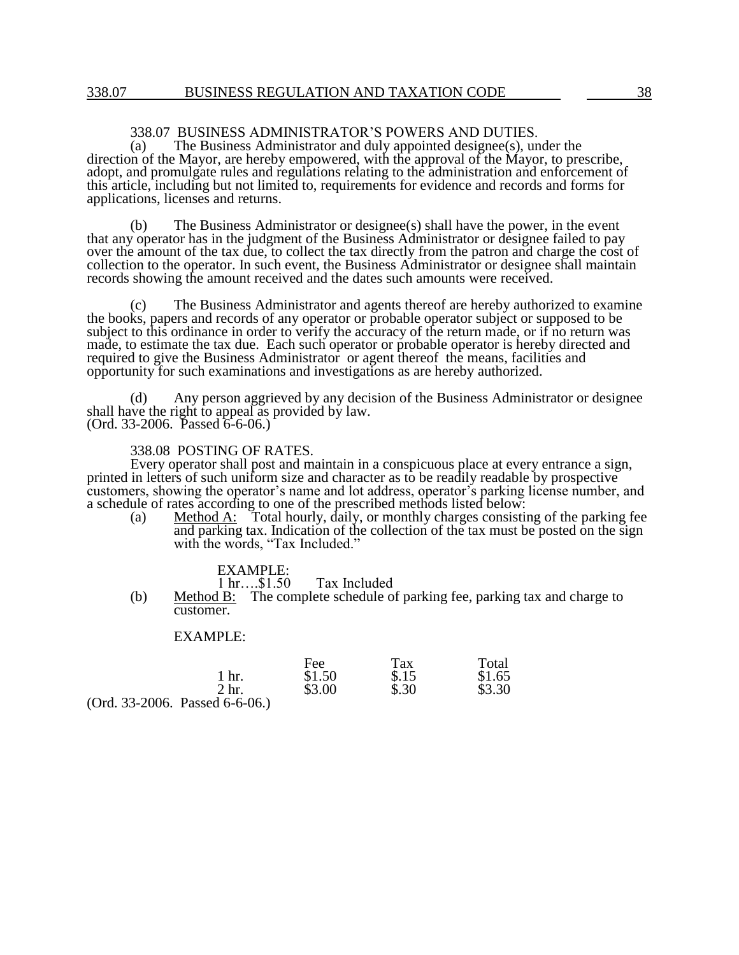# 338.07 BUSINESS ADMINISTRATOR'S POWERS AND DUTIES.<br>(a) The Business Administrator and duly appointed designee(s), un

The Business Administrator and duly appointed designee $(s)$ , under the direction of the Mayor, are hereby empowered, with the approval of the Mayor, to prescribe, adopt, and promulgate rules and regulations relating to the administration and enforcement of this article, including but not limited to, requirements for evidence and records and forms for applications, licenses and returns.

(b) The Business Administrator or designee(s) shall have the power, in the event that any operator has in the judgment of the Business Administrator or designee failed to pay over the amount of the tax due, to collect the tax directly from the patron and charge the cost of collection to the operator. In such event, the Business Administrator or designee shall maintain records showing the amount received and the dates such amounts were received.

(c) The Business Administrator and agents thereof are hereby authorized to examine the books, papers and records of any operator or probable operator subject or supposed to be subject to this ordinance in order to verify the accuracy of the return made, or if no return was made, to estimate the tax due. Each such operator or probable operator is hereby directed and required to give the Business Administrator or agent thereof the means, facilities and opportunity for such examinations and investigations as are hereby authorized.

(d) Any person aggrieved by any decision of the Business Administrator or designee shall have the right to appeal as provided by law.  $(Ord. 33-2006.$  Passed  $6-6-06.)$ 

#### 338.08 POSTING OF RATES.

Every operator shall post and maintain in a conspicuous place at every entrance a sign, printed in letters of such uniform size and character as to be readily readable by prospective customers, showing the operator's name and lot address, operator's parking license number, and a schedule of rates according to one of the prescribed methods listed below:

(a) Method A: Total hourly, daily, or monthly charges consisting of the parking fee and parking tax. Indication of the collection of the tax must be posted on the sign with the words, "Tax Included."

# EXAMPLE:<br>1 hr....\$1.50

Tax Included

(b) Method B: The complete schedule of parking fee, parking tax and charge to customer.

### EXAMPLE:

|                                  | Fee    | Tax   | Total  |
|----------------------------------|--------|-------|--------|
| 1 hr.                            | \$1.50 | \$.15 | \$1.65 |
| 2 <sub>hr</sub>                  | \$3.00 | \$.30 | \$3.30 |
| $(Ord. 33-2006.$ Passed 6-6-06.) |        |       |        |